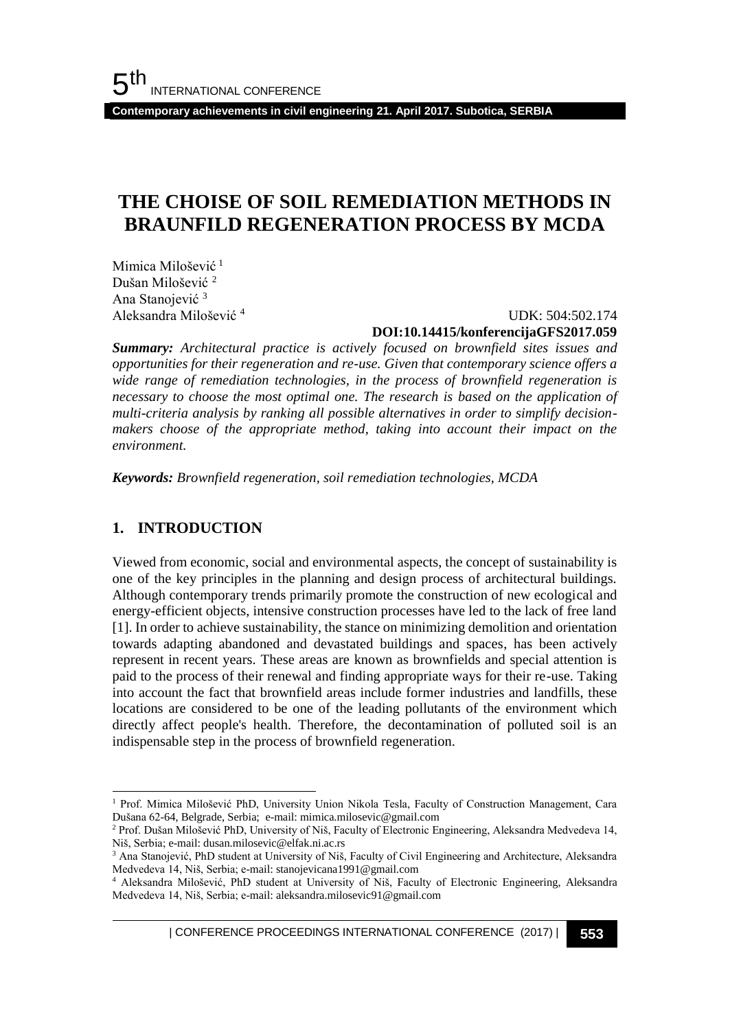**Contemporary achievements in civil engineering 21. April 2017. Subotica, SERBIA**

## **THE CHOISE OF SOIL REMEDIATION METHODS IN BRAUNFILD REGENERATION PROCESS BY MCDA**

Mimica Milošević<sup>1</sup> Dušan Milošević <sup>2</sup> Ana Stanojević <sup>3</sup> Aleksandra Milošević <sup>4</sup>

 UDK: 504:502.174 **DOI:10.14415/konferencijaGFS2017.059**

*Summary: Architectural practice is actively focused on brownfield sites issues and opportunities for their regeneration and re-use. Given that contemporary science offers a wide range of remediation technologies, in the process of brownfield regeneration is necessary to choose the most optimal one. The research is based on the application of multi-criteria analysis by ranking all possible alternatives in order to simplify decisionmakers choose of the appropriate method, taking into account their impact on the environment.*

*Keywords: Brownfield regeneration, soil remediation technologies, MCDA*

## **1. INTRODUCTION**

l

Viewed from economic, social and environmental aspects, the concept of sustainability is one of the key principles in the planning and design process of architectural buildings. Although contemporary trends primarily promote the construction of new ecological and energy-efficient objects, intensive construction processes have led to the lack of free land [1]. In order to achieve sustainability, the stance on minimizing demolition and orientation towards adapting abandoned and devastated buildings and spaces, has been actively represent in recent years. These areas are known as brownfields and special attention is paid to the process of their renewal and finding appropriate ways for their re-use. Taking into account the fact that brownfield areas include former industries and landfills, these locations are considered to be one of the leading pollutants of the environment which directly affect people's health. Therefore, the decontamination of polluted soil is an indispensable step in the process of brownfield regeneration.

| CONFERENCE PROCEEDINGS INTERNATIONAL CONFERENCE (2017) <sup>|</sup>**553**

<sup>1</sup> Prof. Mimica Milošević PhD, University Union Nikola Tesla, Faculty of Construction Management, Cara Dušana 62-64, Belgrade, Serbia; e-mail: [mimica.milosevic@gmail.com](mailto:mimica.milosevic@gmail.com)

<sup>2</sup> Prof. Dušan Milošević PhD, University of Niš, Faculty of Electronic Engineering, Aleksandra Medvedeva 14, Niš, Serbia; e-mail: dusan.milosevic@elfak.ni.ac.rs

<sup>&</sup>lt;sup>3</sup> Ana Stanojević, PhD student at University of Niš, Faculty of Civil Engineering and Architecture, Aleksandra Medvedeva 14, Niš, Serbia; e-mail: stanojevicana1991@gmail.com

<sup>4</sup> Aleksandra Milošević, PhD student at University of Niš, Faculty of Electronic Engineering, Aleksandra Medvedeva 14, Niš, Serbia; e-mail: aleksandra.milosevic91@gmail.com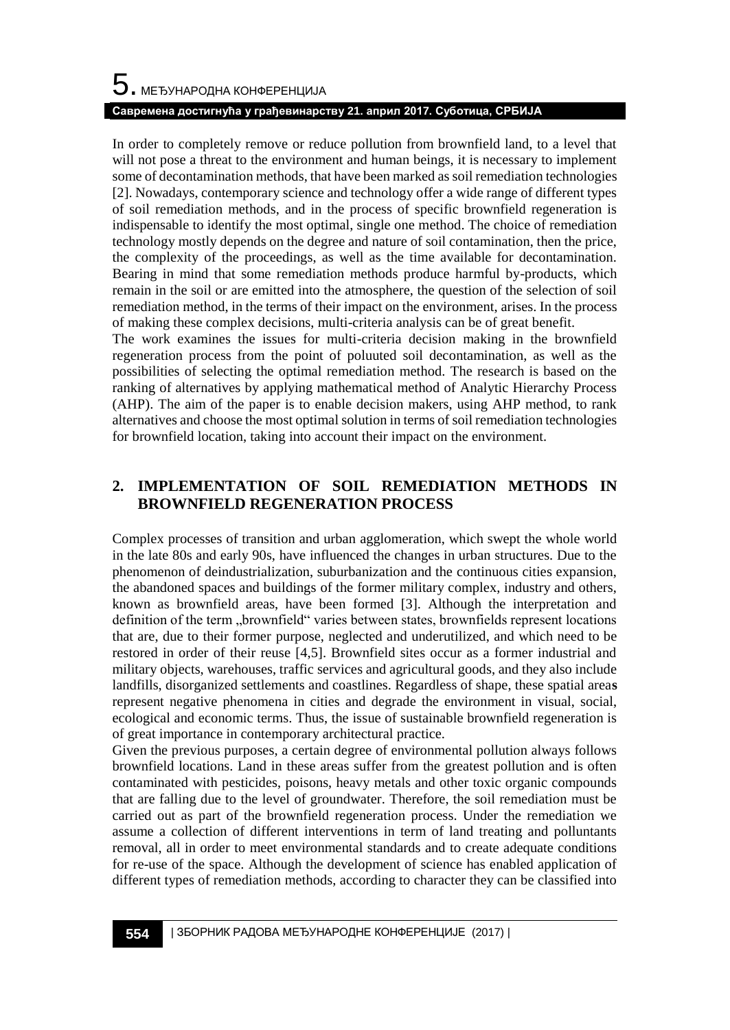# $\mathbf 5$ . међународна конференција **Савремена достигнућа у грађевинарству 21. април 2017. Суботица, СРБИЈА**

In order to completely remove or reduce pollution from brownfield land, to a level that will not pose a threat to the environment and human beings, it is necessary to implement some of decontamination methods, that have been marked as soil remediation technologies [2]. Nowadays, contemporary science and technology offer a wide range of different types of soil remediation methods, and in the process of specific brownfield regeneration is indispensable to identify the most optimal, single one method. The choice of remediation technology mostly depends on the degree and nature of soil contamination, then the price, the complexity of the proceedings, as well as the time available for decontamination. Bearing in mind that some remediation methods produce harmful by-products, which remain in the soil or are emitted into the atmosphere, the question of the selection of soil remediation method, in the terms of their impact on the environment, arises. In the process of making these complex decisions, multi-criteria analysis can be of great benefit.

The work examines the issues for multi-criteria decision making in the brownfield regeneration process from the point of poluuted soil decontamination, as well as the possibilities of selecting the optimal remediation method. The research is based on the ranking of alternatives by applying mathematical method of Analytic Hierarchy Process (AHP). The aim of the paper is to enable decision makers, using AHP method, to rank alternatives and choose the most optimal solution in terms of soil remediation technologies for brownfield location, taking into account their impact on the environment.

## **2. IMPLEMENTATION OF SOIL REMEDIATION METHODS IN BROWNFIELD REGENERATION PROCESS**

Complex processes of transition and urban agglomeration, which swept the whole world in the late 80s and early 90s, have influenced the changes in urban structures. Due to the phenomenon of deindustrialization, suburbanization and the continuous cities expansion, the abandoned spaces and buildings of the former military complex, industry and others, known as brownfield areas, have been formed [3]. Although the interpretation and definition of the term "brownfield" varies between states, brownfields represent locations that are, due to their former purpose, neglected and underutilized, and which need to be restored in order of their reuse [4,5]. Brownfield sites occur as a former industrial and military objects, warehouses, traffic services and agricultural goods, and they also include landfills, disorganized settlements and coastlines. Regardless of shape, these spatial area**s** represent negative phenomena in cities and degrade the environment in visual, social, ecological and economic terms. Thus, the issue of sustainable brownfield regeneration is of great importance in contemporary architectural practice.

Given the previous purposes, a certain degree of environmental pollution always follows brownfield locations. Land in these areas suffer from the greatest pollution and is often contaminated with pesticides, poisons, heavy metals and other toxic organic compounds that are falling due to the level of groundwater. Therefore, the soil remediation must be carried out as part of the brownfield regeneration process. Under the remediation we assume a collection of different interventions in term of land treating and polluntants removal, all in order to meet environmental standards and to create adequate conditions for re-use of the space. Although the development of science has enabled application of different types of remediation methods, according to character they can be classified into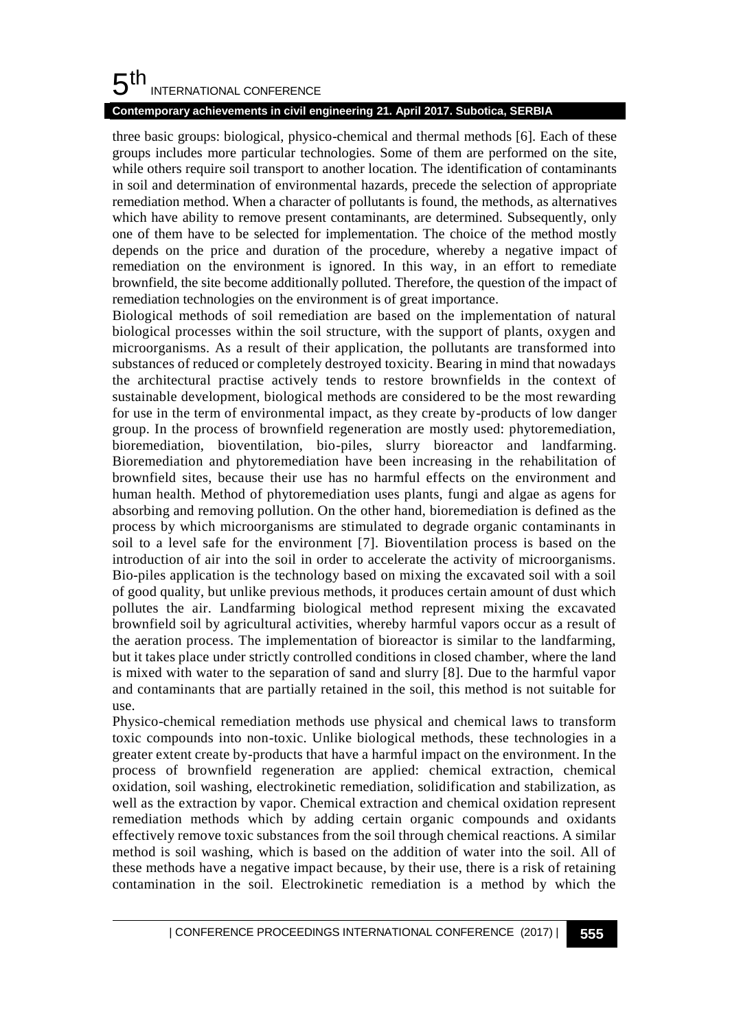#### 5 th INTERNATIONAL CONFERENCE

## **Contemporary achievements in civil engineering 21. April 2017. Subotica, SERBIA**

three basic groups: biological, physico-chemical and thermal methods [6]. Each of these groups includes more particular technologies. Some of them are performed on the site, while others require soil transport to another location. The identification of contaminants in soil and determination of environmental hazards, precede the selection of appropriate remediation method. When a character of pollutants is found, the methods, as alternatives which have ability to remove present contaminants, are determined. Subsequently, only one of them have to be selected for implementation. The choice of the method mostly depends on the price and duration of the procedure, whereby a negative impact of remediation on the environment is ignored. In this way, in an effort to remediate brownfield, the site become additionally polluted. Therefore, the question of the impact of remediation technologies on the environment is of great importance.

Biological methods of soil remediation are based on the implementation of natural biological processes within the soil structure, with the support of plants, oxygen and microorganisms. As a result of their application, the pollutants are transformed into substances of reduced or completely destroyed toxicity. Bearing in mind that nowadays the architectural practise actively tends to restore brownfields in the context of sustainable development, biological methods are considered to be the most rewarding for use in the term of environmental impact, as they create by-products of low danger group. In the process of brownfield regeneration are mostly used: phytoremediation, bioremediation, bioventilation, bio-piles, slurry bioreactor and landfarming. Bioremediation and phytoremediation have been increasing in the rehabilitation of brownfield sites, because their use has no harmful effects on the environment and human health. Method of phytoremediation uses plants, fungi and algae as agens for absorbing and removing pollution. On the other hand, bioremediation is defined as the process by which microorganisms are stimulated to degrade organic contaminants in soil to a level safe for the environment [7]. Bioventilation process is based on the introduction of air into the soil in order to accelerate the activity of microorganisms. Bio-piles application is the technology based on mixing the excavated soil with a soil of good quality, but unlike previous methods, it produces certain amount of dust which pollutes the air. Landfarming biological method represent mixing the excavated brownfield soil by agricultural activities, whereby harmful vapors occur as a result of the aeration process. The implementation of bioreactor is similar to the landfarming, but it takes place under strictly controlled conditions in closed chamber, where the land is mixed with water to the separation of sand and slurry [8]. Due to the harmful vapor and contaminants that are partially retained in the soil, this method is not suitable for use.

Physico-chemical remediation methods use physical and chemical laws to transform toxic compounds into non-toxic. Unlike biological methods, these technologies in a greater extent create by-products that have a harmful impact on the environment. In the process of brownfield regeneration are applied: chemical extraction, chemical oxidation, soil washing, electrokinetic remediation, solidification and stabilization, as well as the extraction by vapor. Chemical extraction and chemical oxidation represent remediation methods which by adding certain organic compounds and oxidants effectively remove toxic substances from the soil through chemical reactions. A similar method is soil washing, which is based on the addition of water into the soil. All of these methods have a negative impact because, by their use, there is a risk of retaining contamination in the soil. Electrokinetic remediation is a method by which the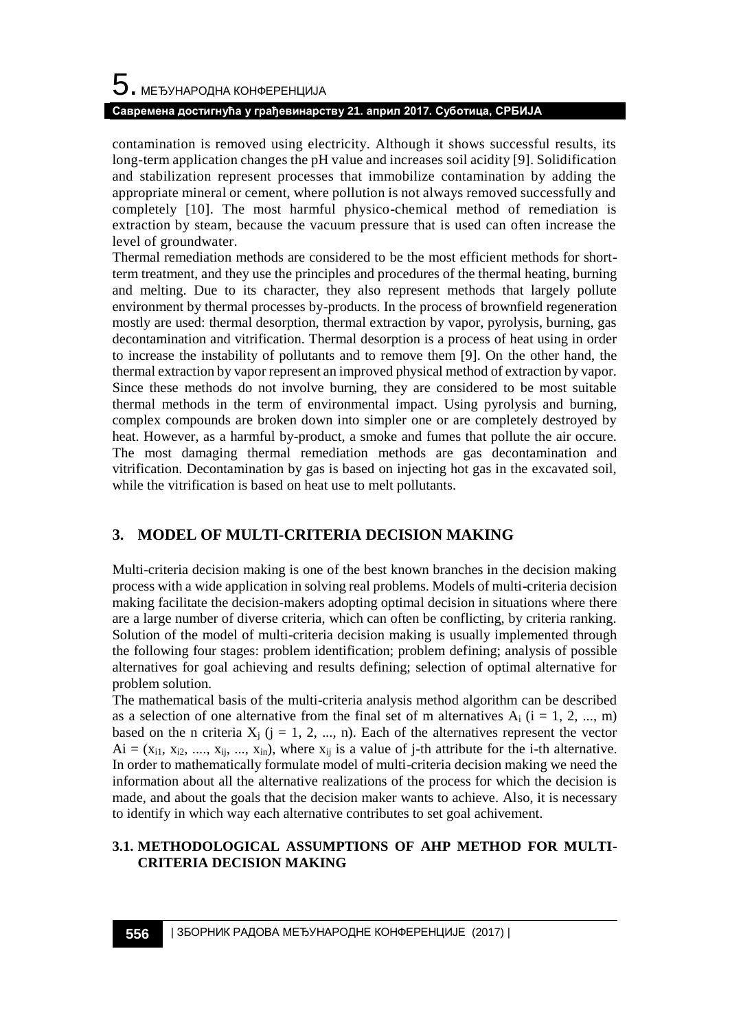# $\mathbf 5$ . међународна конференција **Савремена достигнућа у грађевинарству 21. април 2017. Суботица, СРБИЈА**

contamination is removed using electricity. Although it shows successful results, its long-term application changes the pH value and increases soil acidity [9]. Solidification and stabilization represent processes that immobilize contamination by adding the appropriate mineral or cement, where pollution is not always removed successfully and completely [10]. The most harmful physico-chemical method of remediation is extraction by steam, because the vacuum pressure that is used can often increase the level of groundwater.

Thermal remediation methods are considered to be the most efficient methods for shortterm treatment, and they use the principles and procedures of the thermal heating, burning and melting. Due to its character, they also represent methods that largely pollute environment by thermal processes by-products. In the process of brownfield regeneration mostly are used: thermal desorption, thermal extraction by vapor, pyrolysis, burning, gas decontamination and vitrification. Thermal desorption is a process of heat using in order to increase the instability of pollutants and to remove them [9]. On the other hand, the thermal extraction by vapor represent an improved physical method of extraction by vapor. Since these methods do not involve burning, they are considered to be most suitable thermal methods in the term of environmental impact. Using pyrolysis and burning, complex compounds are broken down into simpler one or are completely destroyed by heat. However, as a harmful by-product, a smoke and fumes that pollute the air occure. The most damaging thermal remediation methods are gas decontamination and vitrification. Decontamination by gas is based on injecting hot gas in the excavated soil, while the vitrification is based on heat use to melt pollutants.

## **3. MODEL OF MULTI-CRITERIA DECISION MAKING**

Multi-criteria decision making is one of the best known branches in the decision making process with a wide application in solving real problems. Models of multi-criteria decision making facilitate the decision-makers adopting optimal decision in situations where there are a large number of diverse criteria, which can often be conflicting, by criteria ranking. Solution of the model of multi-criteria decision making is usually implemented through the following four stages: problem identification; problem defining; analysis of possible alternatives for goal achieving and results defining; selection of optimal alternative for problem solution.

The mathematical basis of the multi-criteria analysis method algorithm can be described as a selection of one alternative from the final set of m alternatives  $A_i$  (i = 1, 2, ..., m) based on the n criteria  $X_i$  (j = 1, 2, ..., n). Each of the alternatives represent the vector  $Ai = (x_{i1}, x_{i2}, \ldots, x_{ii}, \ldots, x_{in})$ , where  $x_{ii}$  is a value of j-th attribute for the i-th alternative. In order to mathematically formulate model of multi-criteria decision making we need the information about all the alternative realizations of the process for which the decision is made, and about the goals that the decision maker wants to achieve. Also, it is necessary to identify in which way each alternative contributes to set goal achivement.

## **3.1. METHODOLOGICAL ASSUMPTIONS OF AHP METHOD FOR MULTI-CRITERIA DECISION MAKING**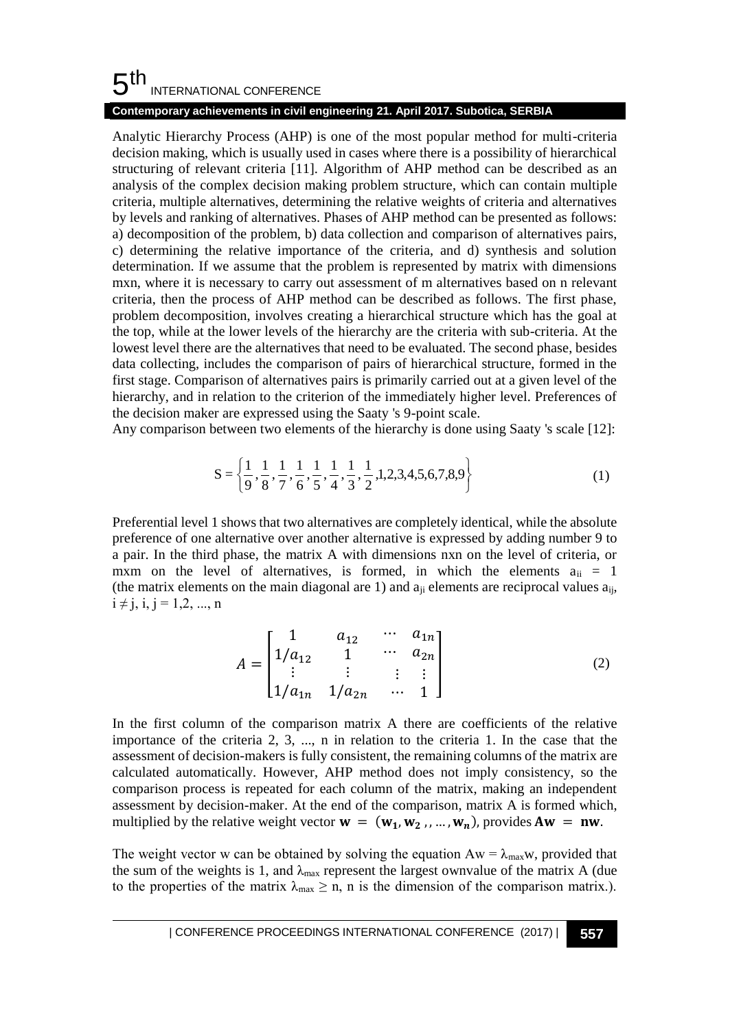#### 5 th INTERNATIONAL CONFERENCE

### **Contemporary achievements in civil engineering 21. April 2017. Subotica, SERBIA**

Analytic Hierarchy Process (AHP) is one of the most popular method for multi-criteria decision making, which is usually used in cases where there is a possibility of hierarchical structuring of relevant criteria [11]. Algorithm of AHP method can be described as an analysis of the complex decision making problem structure, which can contain multiple criteria, multiple alternatives, determining the relative weights of criteria and alternatives by levels and ranking of alternatives. Phases of AHP method can be presented as follows: a) decomposition of the problem, b) data collection and comparison of alternatives pairs, c) determining the relative importance of the criteria, and d) synthesis and solution determination. If we assume that the problem is represented by matrix with dimensions mxn, where it is necessary to carry out assessment of m alternatives based on n relevant criteria, then the process of AHP method can be described as follows. The first phase, problem decomposition, involves creating a hierarchical structure which has the goal at the top, while at the lower levels of the hierarchy are the criteria with sub-criteria. At the lowest level there are the alternatives that need to be evaluated. The second phase, besides data collecting, includes the comparison of pairs of hierarchical structure, formed in the first stage. Comparison of alternatives pairs is primarily carried out at a given level of the hierarchy, and in relation to the criterion of the immediately higher level. Preferences of the decision maker are expressed using the Saaty 's 9-point scale.

Any comparison between two elements of the hierarchy is done using Saaty 's scale [12]:

$$
S = \left\{ \frac{1}{9}, \frac{1}{8}, \frac{1}{7}, \frac{1}{6}, \frac{1}{5}, \frac{1}{4}, \frac{1}{3}, \frac{1}{2}, 1, 2, 3, 4, 5, 6, 7, 8, 9 \right\}
$$
(1)

Preferential level 1 shows that two alternatives are completely identical, while the absolute preference of one alternative over another alternative is expressed by adding number 9 to a pair. In the third phase, the matrix A with dimensions nxn on the level of criteria, or mxm on the level of alternatives, is formed, in which the elements  $a_{ii} = 1$ (the matrix elements on the main diagonal are 1) and  $a_{ii}$  elements are reciprocal values  $a_{ii}$ ,  $i \neq j, i, j = 1, 2, ..., n$ 

$$
A = \begin{bmatrix} 1 & a_{12} & \cdots & a_{1n} \\ 1/a_{12} & 1 & \cdots & a_{2n} \\ \vdots & \vdots & \vdots & \vdots \\ 1/a_{1n} & 1/a_{2n} & \cdots & 1 \end{bmatrix}
$$
 (2)

In the first column of the comparison matrix A there are coefficients of the relative importance of the criteria 2, 3, ..., n in relation to the criteria 1. In the case that the assessment of decision-makers is fully consistent, the remaining columns of the matrix are calculated automatically. However, AHP method does not imply consistency, so the comparison process is repeated for each column of the matrix, making an independent assessment by decision-maker. At the end of the comparison, matrix A is formed which, multiplied by the relative weight vector  $\mathbf{w} = (\mathbf{w}_1, \mathbf{w}_2, ..., \mathbf{w}_n)$ , provides  $A\mathbf{w} = \mathbf{n}\mathbf{w}$ .

The weight vector w can be obtained by solving the equation  $Aw = \lambda_{max}w$ , provided that the sum of the weights is 1, and  $\lambda_{\text{max}}$  represent the largest ownvalue of the matrix A (due to the properties of the matrix  $\lambda_{\text{max}} \geq n$ , n is the dimension of the comparison matrix.).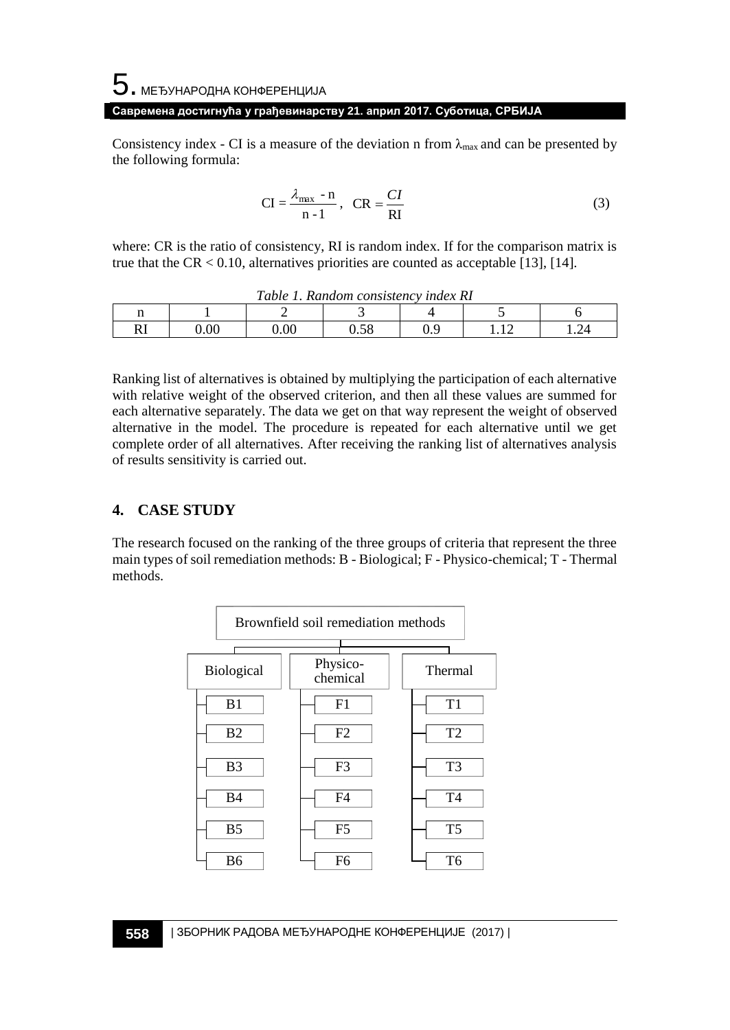# $\mathbf 5$ . међународна конференција **Савремена достигнућа у грађевинарству 21. април 2017. Суботица, СРБИЈА**

Consistency index - CI is a measure of the deviation n from  $\lambda_{\text{max}}$  and can be presented by the following formula:

$$
CI = \frac{\lambda_{\text{max}} - n}{n - 1}, \quad CR = \frac{CI}{RI}
$$
 (3)

where: CR is the ratio of consistency, RI is random index. If for the comparison matrix is true that the  $CR < 0.10$ , alternatives priorities are counted as acceptable [13], [14].

| Table 1. Random consistency index RI |      |          |      |  |  |  |  |  |  |
|--------------------------------------|------|----------|------|--|--|--|--|--|--|
| 11                                   |      |          |      |  |  |  |  |  |  |
| RI                                   | 0.00 | $0.00\,$ | J.58 |  |  |  |  |  |  |

Ranking list of alternatives is obtained by multiplying the participation of each alternative with relative weight of the observed criterion, and then all these values are summed for each alternative separately. The data we get on that way represent the weight of observed alternative in the model. The procedure is repeated for each alternative until we get complete order of all alternatives. After receiving the ranking list of alternatives analysis of results sensitivity is carried out.

## **4. CASE STUDY**

The research focused on the ranking of the three groups of criteria that represent the three main types of soil remediation methods: B - Biological; F - Physico-chemical; T - Thermal methods.

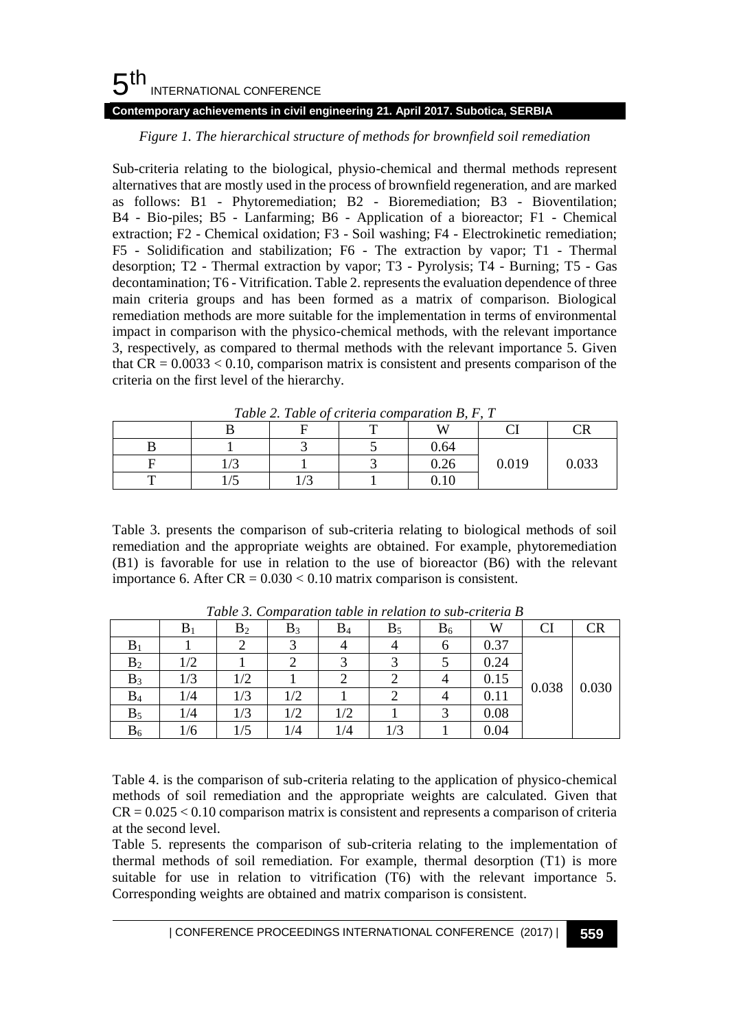#### 5 th INTERNATIONAL CONFERENCE **Contemporary achievements in civil engineering 21. April 2017. Subotica, SERBIA**

## *Figure 1. The hierarchical structure of methods for brownfield soil remediation*

Sub-criteria relating to the biological, physio-chemical and thermal methods represent alternatives that are mostly used in the process of brownfield regeneration, and are marked as follows: B1 - Phytoremediation; B2 - Bioremediation; B3 - Bioventilation; B4 - Bio-piles; B5 - Lanfarming; B6 - Application of a bioreactor; F1 - Chemical extraction; F2 - Chemical oxidation; F3 - Soil washing; F4 - Electrokinetic remediation; F5 - Solidification and stabilization; F6 - The extraction by vapor; T1 - Thermal desorption; T2 - Thermal extraction by vapor; T3 - Pyrolysis; T4 - Burning; T5 - Gas decontamination; T6 - Vitrification. Table 2. represents the evaluation dependence of three main criteria groups and has been formed as a matrix of comparison. Biological remediation methods are more suitable for the implementation in terms of environmental impact in comparison with the physico-chemical methods, with the relevant importance 3, respectively, as compared to thermal methods with the relevant importance 5. Given that  $CR = 0.0033 < 0.10$ , comparison matrix is consistent and presents comparison of the criteria on the first level of the hierarchy.

| Table 2, Table of criteria comparation <b>B</b> , F, T |            |  |  |      |       |                         |  |  |  |  |
|--------------------------------------------------------|------------|--|--|------|-------|-------------------------|--|--|--|--|
|                                                        |            |  |  |      |       | $\mathbf{T} \mathbf{D}$ |  |  |  |  |
|                                                        |            |  |  | 0.64 |       |                         |  |  |  |  |
|                                                        | $\sqrt{2}$ |  |  | 0.26 | 0.019 | 0.033                   |  |  |  |  |
| —                                                      |            |  |  | 0.10 |       |                         |  |  |  |  |

*Table 2. Table of criteria comparation B, F, T*

Table 3. presents the comparison of sub-criteria relating to biological methods of soil remediation and the appropriate weights are obtained. For example, phytoremediation (B1) is favorable for use in relation to the use of bioreactor (B6) with the relevant importance 6. After  $CR = 0.030 < 0.10$  matrix comparison is consistent.

|                | $B_1$ | B <sub>2</sub> | $B_3$ | $B_4$ | $B_5$ | $B_6$ | W    | CI    | CR    |
|----------------|-------|----------------|-------|-------|-------|-------|------|-------|-------|
| $B_1$          |       |                |       |       |       |       | 0.37 | 0.038 | 0.030 |
| B <sub>2</sub> | 1/2   |                | ↩     |       |       |       | 0.24 |       |       |
| $B_3$          | 1/3   | 1/2            |       |       |       |       | 0.15 |       |       |
| $B_4$          | 1/4   | 1/3            | 1/2   |       |       |       | 0.11 |       |       |
| $B_5$          | 1/4   | 1/3            | 1/2   | 1/2   |       |       | 0.08 |       |       |
| $B_6$          | 1/6   | 1/5            | 1/4   | 1/4   | 1/3   |       | 0.04 |       |       |

*Table 3. Comparation table in relation to sub-criteria B*

Table 4. is the comparison of sub-criteria relating to the application of physico-chemical methods of soil remediation and the appropriate weights are calculated. Given that  $CR = 0.025 < 0.10$  comparison matrix is consistent and represents a comparison of criteria at the second level.

Table 5. represents the comparison of sub-criteria relating to the implementation of thermal methods of soil remediation. For example, thermal desorption (T1) is more suitable for use in relation to vitrification (T6) with the relevant importance 5. Corresponding weights are obtained and matrix comparison is consistent.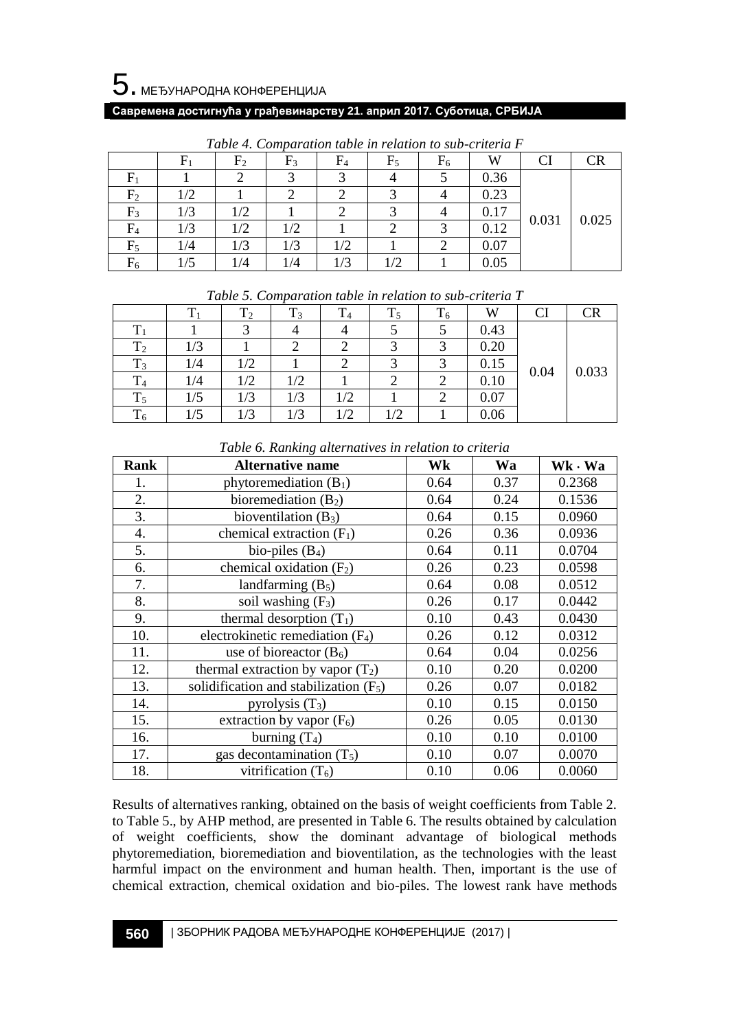#### **Савремена достигнућа у грађевинарству 21. април 2017. Суботица, СРБИЈА**

|                |     | $\rm{F}_{2}$ | $F_3$ | $\rm{F}_4$ | $F_5$      | $F_6$ | W    | CI    | CR    |
|----------------|-----|--------------|-------|------------|------------|-------|------|-------|-------|
| ${\rm F}_1$    |     |              |       |            |            |       | 0.36 | 0.031 | 0.025 |
| $\rm F_2$      | 1/2 |              |       |            |            |       | 0.23 |       |       |
| $\mathrm{F}_3$ | 1/3 | 1/2          |       |            |            |       | 0.17 |       |       |
| $\rm{F}_4$     | 1/3 | 1/2          | 1/2   |            |            |       | 0.12 |       |       |
| $\rm{F}_{5}$   | 1/4 | 1/3          | 1/3   | 1/2        |            |       | 0.07 |       |       |
| $\rm{F}_6$     | l/5 | 1/4          | 1/4   | 1/3        | $\sqrt{2}$ |       | 0.05 |       |       |

*Table 4. Comparation table in relation to sub-criteria F*

| Tuble 9. Comparation tuble in retailon to sub-criteria 1 |     |     |     |     |    |    |      |      |       |
|----------------------------------------------------------|-----|-----|-----|-----|----|----|------|------|-------|
|                                                          |     | 12  | 13  | 14  | 15 | 16 | W    | CI   |       |
|                                                          |     |     |     |     |    |    | 0.43 | 0.04 | 0.033 |
| $\rm T_2$                                                | 1/3 |     |     |     |    |    | 0.20 |      |       |
| $T_3$                                                    | 1/4 | 1/2 |     |     |    |    | 0.15 |      |       |
| $\rm T_4$                                                | 1/4 | 1/2 | 1/2 |     |    |    | 0.10 |      |       |
| $T_5$                                                    | 1/5 | 1/3 | 1/3 | 1/2 |    |    | 0.07 |      |       |
| $\mathrm{T}_6$                                           | 1/5 | 1/3 |     |     | /2 |    | 0.06 |      |       |

*Table 5. Comparation table in relation to sub-criteria T*

| <b>Rank</b> | <b>Alternative name</b>                  | Wk   | Wa   | Wk · Wa |
|-------------|------------------------------------------|------|------|---------|
| 1.          | phytoremediation $(B_1)$                 | 0.64 | 0.37 | 0.2368  |
| 2.          | bioremediation $(B_2)$                   | 0.64 | 0.24 | 0.1536  |
| 3.          | bioventilation $(B_3)$                   | 0.64 | 0.15 | 0.0960  |
| 4.          | chemical extraction $(F_1)$              | 0.26 | 0.36 | 0.0936  |
| 5.          | bio-piles $(B_4)$                        | 0.64 | 0.11 | 0.0704  |
| 6.          | chemical oxidation $(F_2)$               | 0.26 | 0.23 | 0.0598  |
| 7.          | landfarming $(B_5)$                      | 0.64 | 0.08 | 0.0512  |
| 8.          | soil washing $(F_3)$                     | 0.26 | 0.17 | 0.0442  |
| 9.          | thermal desorption $(T_1)$               | 0.10 | 0.43 | 0.0430  |
| 10.         | electrokinetic remediation $(F_4)$       | 0.26 | 0.12 | 0.0312  |
| 11.         | use of bioreactor $(B_6)$                | 0.64 | 0.04 | 0.0256  |
| 12.         | thermal extraction by vapor $(T_2)$      | 0.10 | 0.20 | 0.0200  |
| 13.         | solidification and stabilization $(F_5)$ | 0.26 | 0.07 | 0.0182  |
| 14.         | pyrolysis $(T_3)$                        | 0.10 | 0.15 | 0.0150  |
| 15.         | extraction by vapor $(F_6)$              | 0.26 | 0.05 | 0.0130  |
| 16.         | burning $(T_4)$                          | 0.10 | 0.10 | 0.0100  |
| 17.         | gas decontamination $(T_5)$              | 0.10 | 0.07 | 0.0070  |
| 18.         | vitrification $(T_6)$                    | 0.10 | 0.06 | 0.0060  |

*Table 6. Ranking alternatives in relation to criteria*

Results of alternatives ranking, obtained on the basis of weight coefficients from Table 2. to Table 5., by AHP method, are presented in Table 6. The results obtained by calculation of weight coefficients, show the dominant advantage of biological methods phytoremediation, bioremediation and bioventilation, as the technologies with the least harmful impact on the environment and human health. Then, important is the use of chemical extraction, chemical oxidation and bio-piles. The lowest rank have methods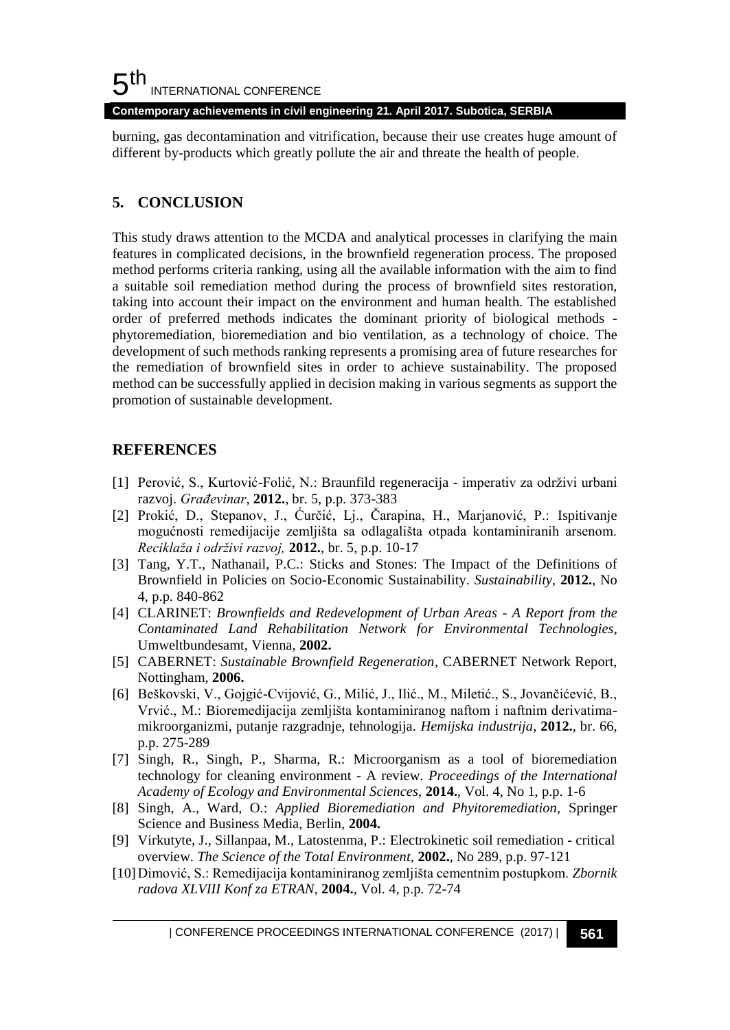#### 5 th INTERNATIONAL CONFERENCE

**Contemporary achievements in civil engineering 21. April 2017. Subotica, SERBIA**

burning, gas decontamination and vitrification, because their use creates huge amount of different by-products which greatly pollute the air and threate the health of people.

## **5. CONCLUSION**

This study draws attention to the MCDA and analytical processes in clarifying the main features in complicated decisions, in the brownfield regeneration process. The proposed method performs criteria ranking, using all the available information with the aim to find a suitable soil remediation method during the process of brownfield sites restoration, taking into account their impact on the environment and human health. The established order of preferred methods indicates the dominant priority of biological methods phytoremediation, bioremediation and bio ventilation, as a technology of choice. The development of such methods ranking represents a promising area of future researches for the remediation of brownfield sites in order to achieve sustainability. The proposed method can be successfully applied in decision making in various segments as support the promotion of sustainable development.

## **REFERENCES**

- [1] Perović, S., Kurtović-Folić, N.: Braunfild regeneracija imperativ za održivi urbani razvoj. *Građevinar*, **2012.**, br. 5, p.p. 373-383
- [2] Prokić, D., Stepanov, J., Ćurčić, Lj., Čarapina, H., Marjanović, P.: Ispitivanje mogućnosti remedijacije zemljišta sa odlagališta otpada kontaminiranih arsenom. *Reciklaža i održivi razvoj,* **2012.**, br. 5, p.p. 10-17
- [3] Tang, Y.T., Nathanail, P.C.: Sticks and Stones: The Impact of the Definitions of Brownfield in Policies on Socio-Economic Sustainability. *Sustainability,* **2012.**, No 4, p.p. 840-862
- [4] CLARINET: *Brownfields and Redevelopment of Urban Areas - A Report from the Contaminated Land Rehabilitation Network for Environmental Technologies*, Umweltbundesamt, Vienna, **2002.**
- [5] CABERNET: *Sustainable Brownfield Regeneration*, CABERNET Network Report, Nottingham, **2006.**
- [6] Beškovski, V., Gojgić-Cvijović, G., Milić, J., Ilić., M., Miletić., S., Jovančićević, B., Vrvić., M.: Bioremedijacija zemljišta kontaminiranog naftom i naftnim derivatimamikroorganizmi, putanje razgradnje, tehnologija. *Hemijska industrija*, **2012.**, br. 66, p.p. 275-289
- [7] Singh, R., Singh, P., Sharma, R.: Microorganism as a tool of bioremediation technology for cleaning environment - A review. *Proceedings of the International Academy of Ecology and Environmental Sciences,* **2014.**, Vol. 4, No 1, p.p. 1-6
- [8] Singh, A., Ward, O.: *Applied Bioremediation and Phyitoremediation,* Springer Science and Business Media, Berlin, **2004.**
- [9] Virkutyte, J., Sillanpaa, M., Latostenma, P.: Electrokinetic soil remediation critical overview. *The Science of the Total Environment,* **2002.**, No 289, p.p. 97-121
- [10]Dimović, S.: Remedijacija kontaminiranog zemljišta cementnim postupkom. *Zbornik radova XLVIII Konf za ETRAN,* **2004.**, Vol. 4, p.p. 72-74